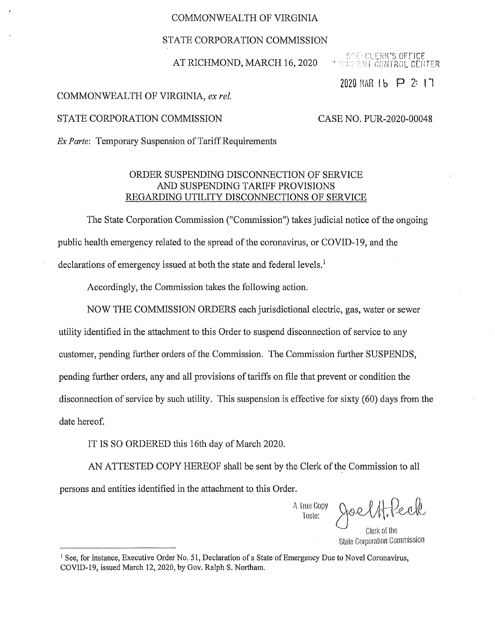## COMMONWEALTH OF VIRGINIA

### STATE CORPORATION COMMISSION

### AT RICHMOND, MARCH 16, 2020

RK'S OFFICE ONTROL CENTER

2020 MAR  $16$  P 2: 17

#### COMMONWEALTH OF VIRGINIA, *ex rel.*

#### STATE CORPORATION COMMISSION CASE NO. PUR-2020-00048

*Ex Parte:* Temporary Suspension of Tariff Requirements

# ORDER SUSPENDING DISCONNECTION OF SERVICE AND SUSPENDING TARIFF PROVISIONS REGARDING UTILITY DISCONNECTIONS OF SERVICE

The State Corporation Commission ("Commission") takes judicial notice of the ongoing public health emergency related to the spread of the coronavirus, or COVID-19, and the declarations of emergency issued at both the state and federal levels.<sup>1</sup>

Accordingly, the Commission takes the following action.

NOW THE COMMISSION ORDERS each jurisdictional electric, gas, water or sewer utility identified in the attachment to this Order to suspend disconnection of service to any customer, pending further orders of the Commission. The Commission further SUSPENDS, pending further orders, any and all provisions of tariffs on file that prevent or condition the disconnection of service by such utility. This suspension is effective for sixty (60) days from the date hereof.

IT IS SO ORDERED this 16th day of March 2020.

AN ATTESTED COPY HEREOF shall be sent by the Clerk of the Commission to all persons and entities identified in the attachment to this Order.

A True Copy Teste: Clerk of the State Corporation Commission *t-PeA* 

<sup>&</sup>lt;sup>1</sup> See, for instance, Executive Order No. 51, Declaration of a State of Emergency Due to Novel Coronavirus, COVID-19, issued March 12, 2020, by Gov. Ralph S. Northam.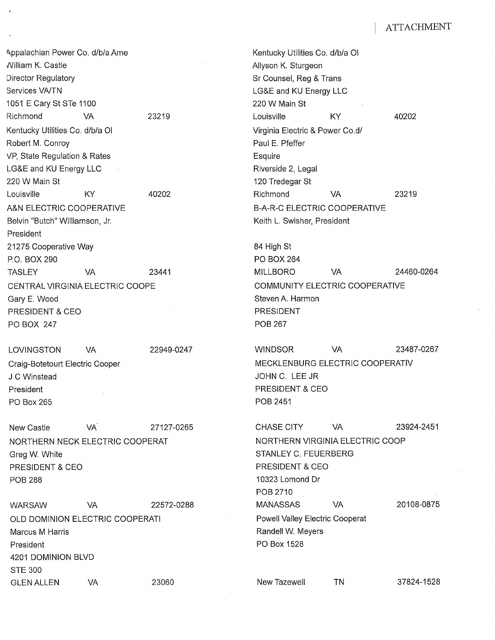Appalachian Power Co. d/b/a Ame **Kentucky Utilities Co. d/b/a Ol** nilliam K. Castle Allyson K. Sturgeon Director Regulatory **Superint Counsel, Reg & Trans** Services VA/TN **Services VA/TN** 2004 12:30 THE SERVICE AND LG&E and KU Energy LLC 1051 E Cary St STe 1100 220 W Main St Richmond VA 23219 Louisville KY 40202 Kentucky Utilities Co. d/b/a Ol **Virginia Electric & Power Co.d/** Virginia Electric & Power Co.d/ Robert M. Conroy **Paul E. Pfeffer** VP, State Regulation & Rates **Example 20** Esquire LG&E and KU Energy LLC **Riverside 2, Legal** Riverside 2, Legal 220 W Main St 120 Tredegar St Louisville KY 40202 Richmond VA 23219 A&N ELECTRIC COOPERATIVE AND THE B-A-R-C ELECTRIC COOPERATIVE Belvin "Butch" Williamson, Jr. New York Charles Hotel Belvin Keith L. Swisher, President President 21275 Cooperative Way **84 High St** 84 High St P.O. BOX 290 PO BOX 264 CENTRAL VIRGINIA ELECTRIC COOPE COMMUNITY ELECTRIC COOPERATIVE Gary E. Wood Steven A. Harmon Steven A. Harmon Steven A. Harmon Steven A. Harmon PRESIDENT & CEO PRESIDENT PO BOX 247 POB 267

#### LOVINGSTON VA

Craig-Botetourt Electric Cooper J C Winstead President PO Box 265

New Castle VA. 27127-0265 CHASE CITY VA 23924-2451 NORTHERN NECK ELECTRIC COOPERAT NORTHERN VIRGINIA ELECTRIC COOP Greg W. White Strawburst C. FEUERBERG STANLEY C. FEUERBERG PRESIDENT & CEO **PRESIDENT & CEO** POB 288 10323 Lomond Dr

WARSAW VA 22572-0288 MANASSAS VA 20108-0875 OLD DOMINION ELECTRIC COOPERATI Proved Valley Electric Cooperat Marcus M Harris **Marcus Marcus Allen According to the Control** Marcus Meyers **Randell W. Meyers** President Police President PO Box 1528 4201 DOMINION BLVD STE 300 GLEN ALLEN VA 23060 New Tazewell TN 37824-1528

TASLEY VA 23441 MILLBORO VA 24460-0264

22949-0247 WINDSOR VA 23487-0267 MECKLENBURG ELECTRIC COOPERATIV JOHN C. LEE JR PRESIDENT & CEO POB 2451

POB 2710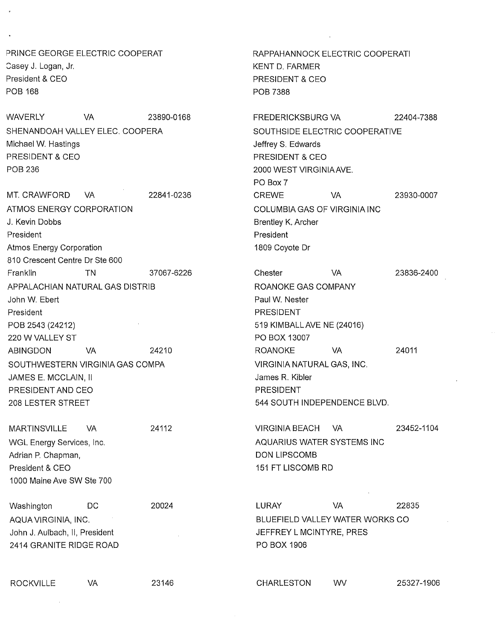PRINCE GEORGE ELECTRIC COOPERAT Casey J. Logan, Jr. President & CEO POB 168

WAVERLY VA 23890-0168 SHENANDOAH VALLEY ELEC, COOPERA Michael W. Hastings PRESIDENT & CEO POB 236

MT. CRAWFORD VA 22841-0236 ATMOS ENERGY CORPORATION J. Kevin Dobbs President Atmos Energy Corporation 810 Crescent Centre Dr Ste 600 Franklin TN 37067-6226 APPALACHIAN NATURAL GAS DISTRIB John W. Ebert President POB 2543 (24212) 220 W VALLEY ST ABINGDON VA 24210 SOUTHWESTERN VIRGINIA GAS COMPA JAMES E. MCCLAIN, II PRESIDENT AND CEO 208 LESTER STREET

WGL Energy Services, Inc. Adrian P. Chapman, President & CEO 1000 Maine Ave SW Ste 700

Washington DC AQUA VIRGINIA, INC. John J. Aulbach, II, President 2414 GRANITE RIDGE ROAD

RAPPAHANNOCK ELECTRIC COOPERATI KENT D. FARMER PRESIDENT & CEO POB 7388

FREDERICKSBURG VA 22404-7388 SOUTHSIDE ELECTRIC COOPERATIVE Jeffrey S. Edwards PRESIDENT & CEO 2000 WEST VIRGINIAAVE. PO Box 7 CREWE VA 23930-0007 COLUMBIA GAS OF VIRGINIA INC Brentley K, Archer President 1809 Coyote Dr

| Chester                      | VA  | 23836-2400 |
|------------------------------|-----|------------|
| ROANOKE GAS COMPANY          |     |            |
| Paul W. Nester               |     |            |
| PRESIDENT                    |     |            |
| 519 KIMBALL AVE NE (24016)   |     |            |
| PO BOX 13007                 |     |            |
| <b>ROANOKE</b>               | VA. | 24011      |
| VIRGINIA NATURAL GAS, INC.   |     |            |
| James R. Kibler              |     |            |
| PRESIDENT                    |     |            |
| 544 SOUTH INDEPENDENCE BLVD. |     |            |
|                              |     |            |

24112 VIRGINIA BEACH VA MARTINSVILLE VA 23452-1104 AQUARIUS WATER SYSTEMS INC DON LIPSCOMB 151 FT LISCOMB RD

> 20024 LURAY VA 22835 BLUEFIELD VALLEY WATER WORKS CO JEFFREY L MCINTYRE, PRES PO BOX 1906

ROCKVILLE VA 23146 CHARLESTON WV 25327-1906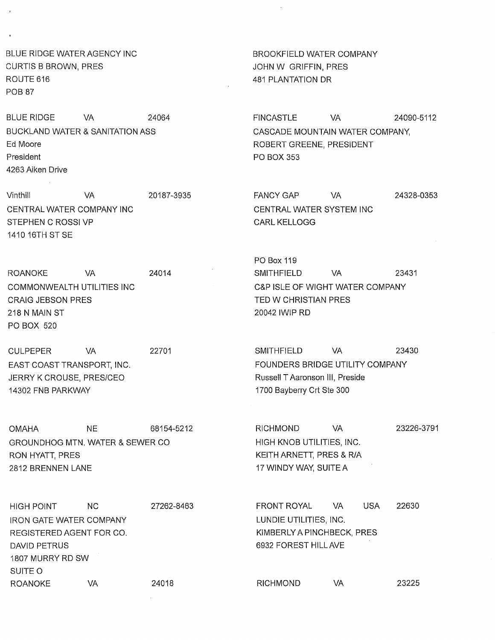BLUE RIDGE WATER AGENCY INC **BROOKFIELD WATER COMPANY** CURTIS B BROWN, PRES JOHN W GRIFFIN, PRES ROUTE 616 481 PLANTATION DR POB<sub>87</sub>

BLUE RIDGE VA 24064 BUCKLAND WATER & SANITATION ASS Ed Moore President 4263 Aiken Drive

Vinthill VA CENTRAL WATER COMPANY INC STEPHEN C ROSSI VP 1410 16TH ST SE

ROANOKE VA COMMONWEALTH UTILITIES INC CRAIG JEBSON PRES 218 N MAIN ST PO BOX 520

CULPEPER VA EAST COAST TRANSPORT, INC. JERRY K CROUSE, PRES/CEO 14302 FNB PARKWAY

GROUNDHOG MTN. WATER & SEWER CO HIGH KNOB UTILITIES, INC. RON HYATT, PRES KEITH ARNETT, PRES & R/A 2812 BRENNEN LANE 17 WINDY WAY, SUITE A

HIGH POINT NC IRON GATE WATER COMPANY REGISTERED AGENT FOR CO. DAVID PETRUS 1807 MURRY RD SW SUITE 0 ROANOKE VA 27262-8463 24018

FINCASTLE VA 24090-5112 CASCADE MOUNTAIN WATER COMPANY, ROBERT GREENE, PRESIDENT PO BOX 353

20187-3935 FANCY GAP VA 24328-0353 CENTRAL WATER SYSTEM INC CARL KELLOGG

PO Box 119 24014 SMITHFIELD VA 23431 C&P ISLE OF WIGHT WATER COMPANY TED W CHRISTIAN PRES 20042 IWIP RD

22701 SMITHFIELD VA 23430 FOUNDERS BRIDGE UTILITY COMPANY Russell T Aaronson III, Preside 1700 Bayberry Crt Ste 300

OMAHA NE 68154-5212 RICHMOND VA 23226-3791

FRONT ROYAL VA USA 22630 LUNDIE UTILITIES, INC. KIMBERLYA PINCHBECK, PRES 6932 FOREST HILL AVE

RICHMOND VA 23225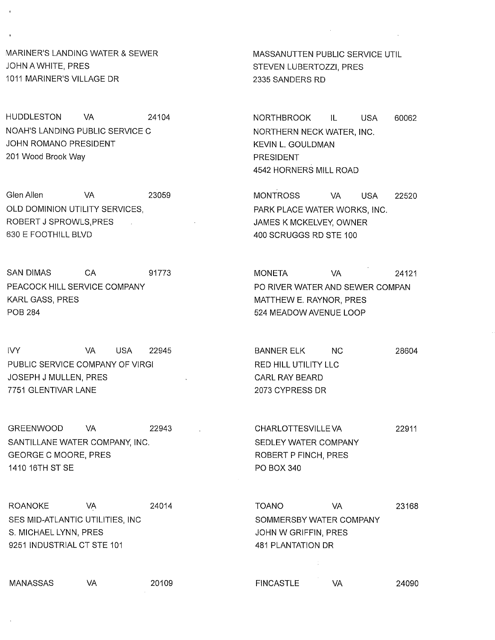MARINER'S LANDING WATER & SEWER MASSANUTTEN PUBLIC SERVICE UTIL JOHN A WHITE, PRES STEVEN LUBERTOZZI, PRES 1011 MARINER'S VILLAGE DR 2335 SANDERS RD

HUDDLESTON VA 24104 NOAH'S LANDING PUBLIC SERVICE C JOHN ROMANO PRESIDENT 201 Wood Brook Way

Glen Allen VA 23059 OLD DOMINION UTILITY SERVICES, ROBERT J SPROWLS,PRES 630 E FOOTHILL BLVD

PEACOCK HILL SERVICE COMPANY **PEACOUL SERVICE COMPANY** PO RIVER WATER AND SEWER COMPAN KARL GASS, PRES THE STATE OF THE SERVICE OF THE MATTHEW E. RAYNOR, PRES POB 284 524 MEADOW AVENUE LOOP

IVY VA USA 22945 BANNER ELK NC 28604 PUBLIC SERVICE COMPANY OF VIRGI **RED HILL UTILITY LLC** JOSEPH J MULLEN, PRES THE REST CARL RAY BEARD 7751 GLENTIVAR LANE 2073 CYPRESS DR

GREENWOOD VA 22943 CHARLOTTESVILLE VA 22911 SANTILLANE WATER COMPANY, INC. The SEDLEY WATER COMPANY GEORGE C MOORE, PRES ROBERT P FINCH, PRES 1410 16TH ST SE PO BOX 340

SES MID-ATLANTIC UTILITIES, INC SOMMERSBY WATER COMPANY S. MICHAEL LYNN, PRES AND THE SERVICE OF SALE SERVICE OF SALE STATES AND HOT SERVICE OF SALE SERVICE OF SALE S 9251 INDUSTRIAL CT STE 101 481 PLANTATION DR

NORTHBROOK IL USA 60062 NORTHERN NECK WATER, INC. KEVIN L. GOULDMAN PRESIDENT 4542 HORNERS MILL ROAD

MONTROSS VA USA 22520 PARK PLACE WATER WORKS, INC. JAMES K MCKELVEY, OWNER 400 SCRUGGS RD STE 100

SAN DIMAS CA 91773 MONETA VA 24121

ROANOKE VA 24014 TOANO VA 23168

MANASSAS VA 20109 FINCASTLE VA 24090